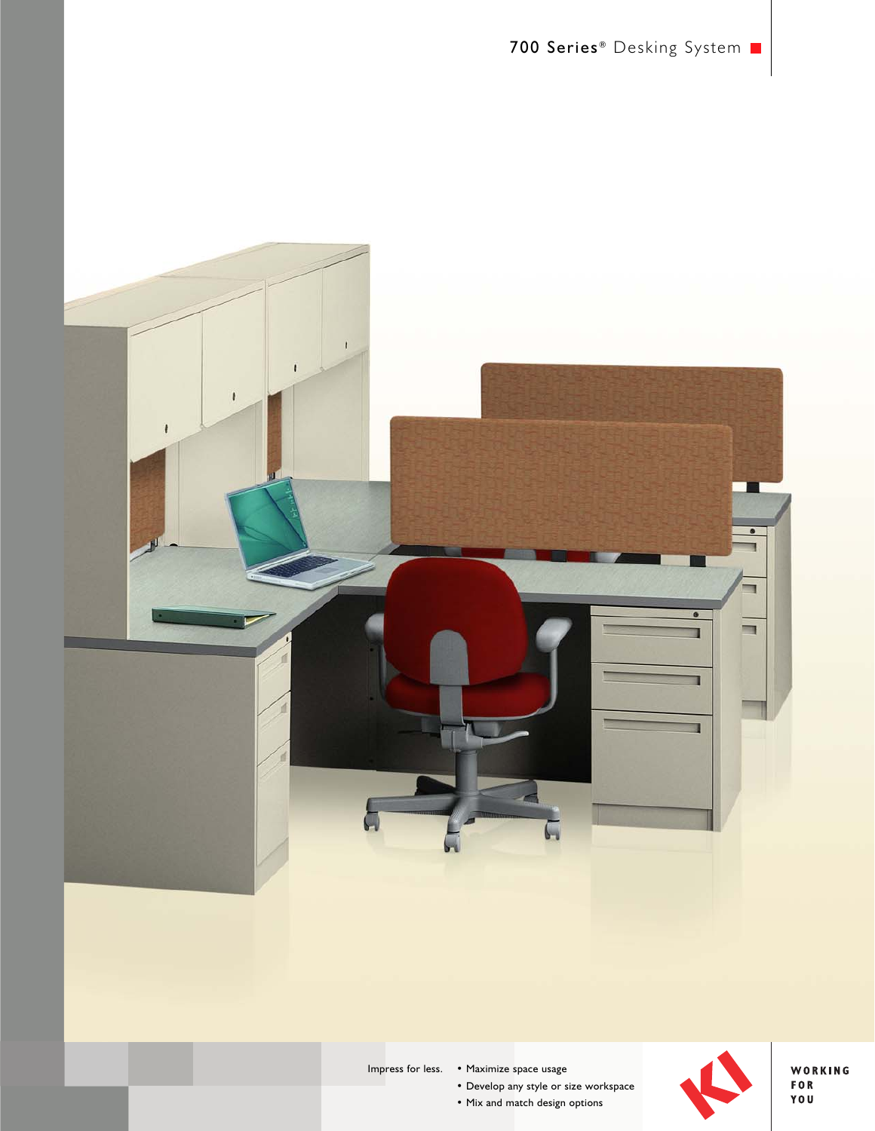

Impress for less. • Maximize space usage

• Develop any style or size workspace

• Mix and match design options



WORKING FOR<br>YOU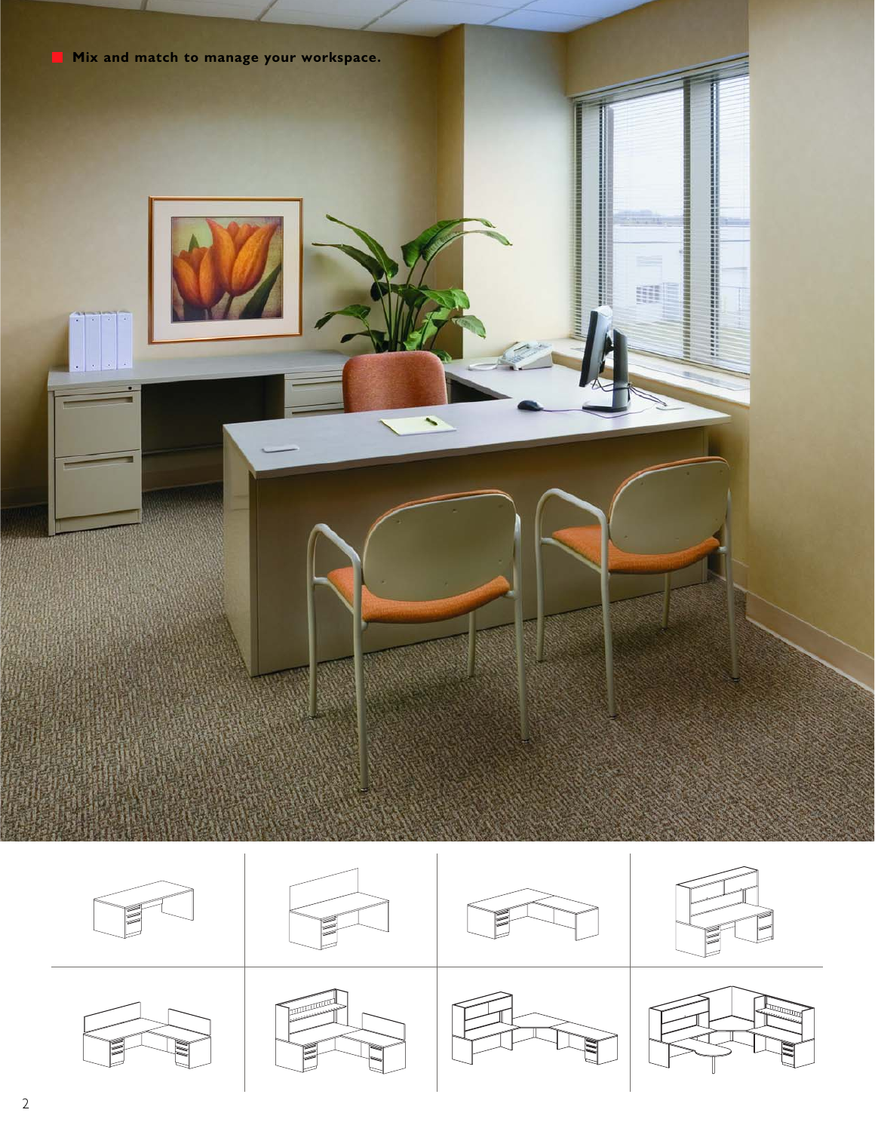













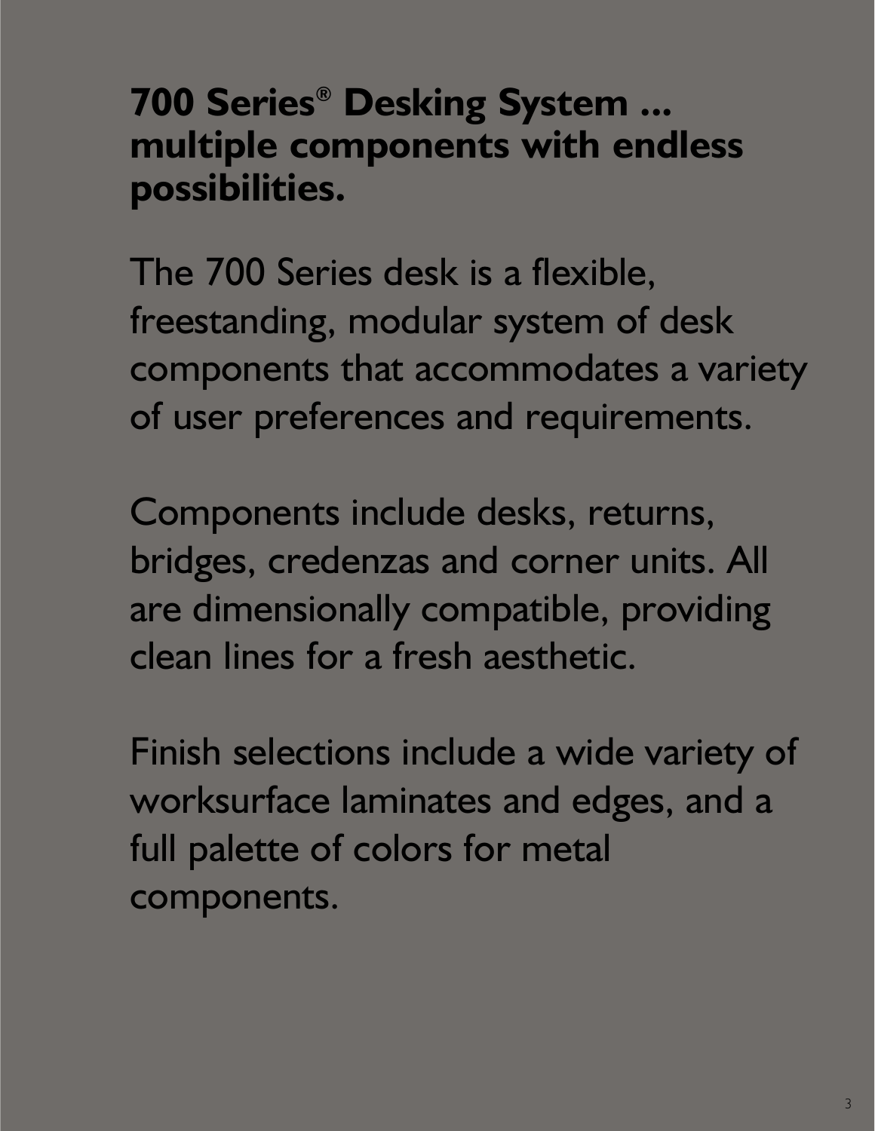**700 Series® Desking System ... multiple components with endless possibilities.**

The 700 Series desk is a flexible, freestanding, modular system of desk components that accommodates a variety of user preferences and requirements.

Components include desks, returns, bridges, credenzas and corner units. All are dimensionally compatible, providing clean lines for a fresh aesthetic.

Finish selections include a wide variety of worksurface laminates and edges, and a full palette of colors for metal components.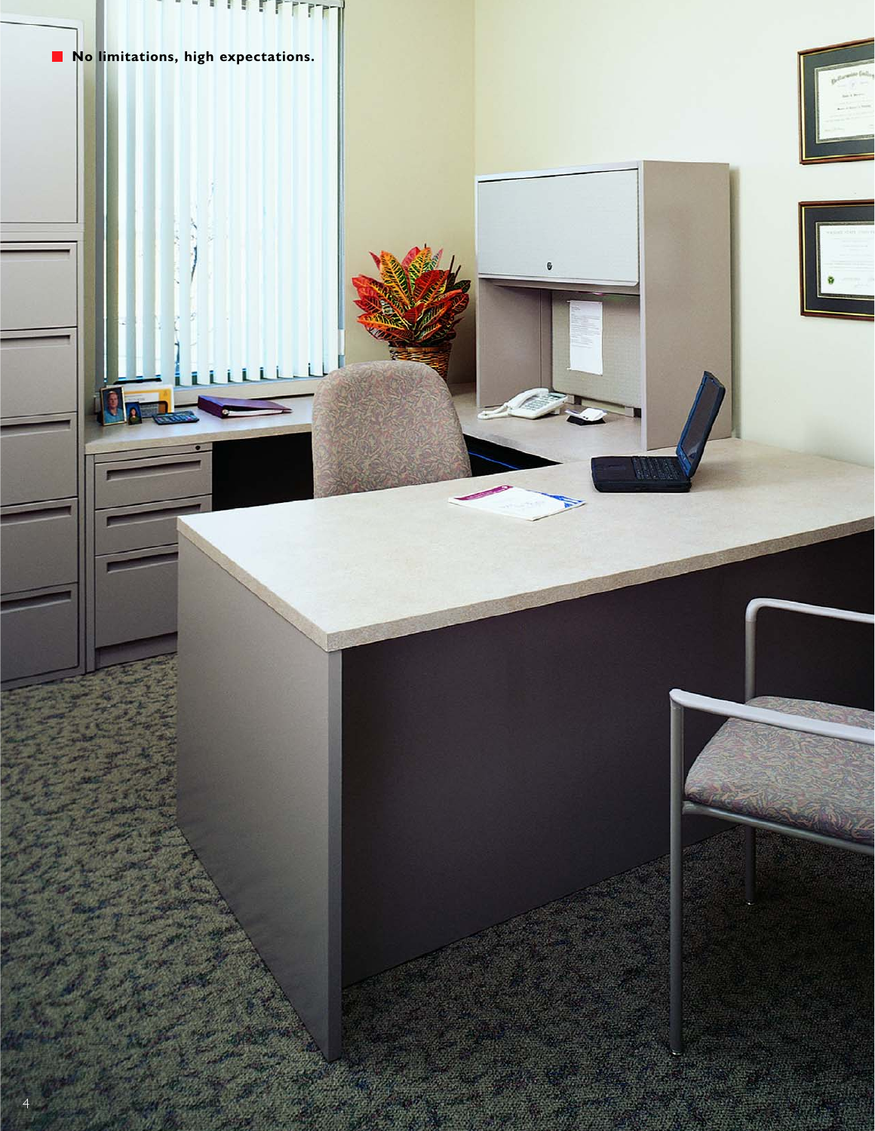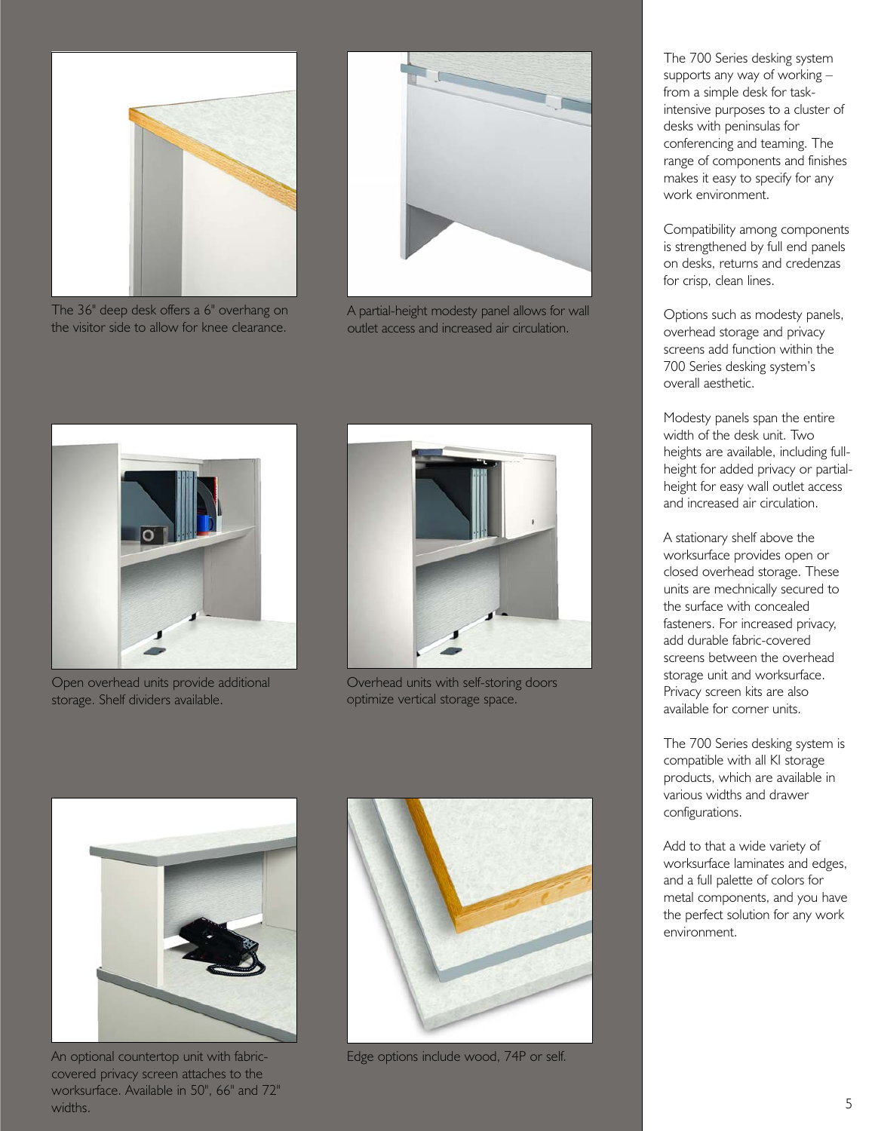

The 36" deep desk offers a 6" overhang on the visitor side to allow for knee clearance.



A partial-height modesty panel allows for wall outlet access and increased air circulation.



Open overhead units provide additional storage. Shelf dividers available.



Overhead units with self-storing doors optimize vertical storage space.



An optional countertop unit with fabriccovered privacy screen attaches to the worksurface. Available in 50", 66" and 72" widths.



Edge options include wood, 74P or self.

The 700 Series desking system supports any way of working – from a simple desk for taskintensive purposes to a cluster of desks with peninsulas for conferencing and teaming. The range of components and finishes makes it easy to specify for any work environment.

Compatibility among components is strengthened by full end panels on desks, returns and credenzas for crisp, clean lines.

Options such as modesty panels, overhead storage and privacy screens add function within the 700 Series desking system's overall aesthetic.

Modesty panels span the entire width of the desk unit. Two heights are available, including fullheight for added privacy or partialheight for easy wall outlet access and increased air circulation.

A stationary shelf above the worksurface provides open or closed overhead storage. These units are mechnically secured to the surface with concealed fasteners. For increased privacy, add durable fabric-covered screens between the overhead storage unit and worksurface. Privacy screen kits are also available for corner units.

The 700 Series desking system is compatible with all KI storage products, which are available in various widths and drawer configurations.

Add to that a wide variety of worksurface laminates and edges, and a full palette of colors for metal components, and you have the perfect solution for any work environment.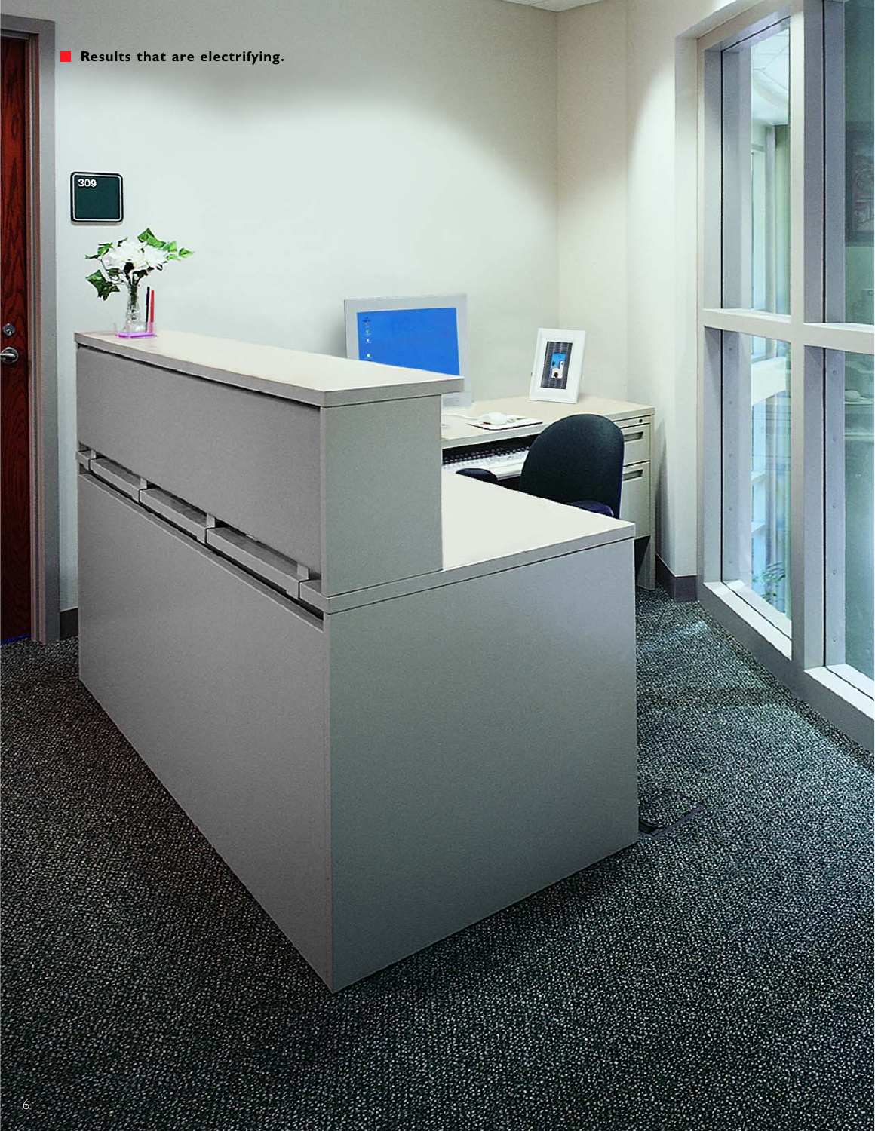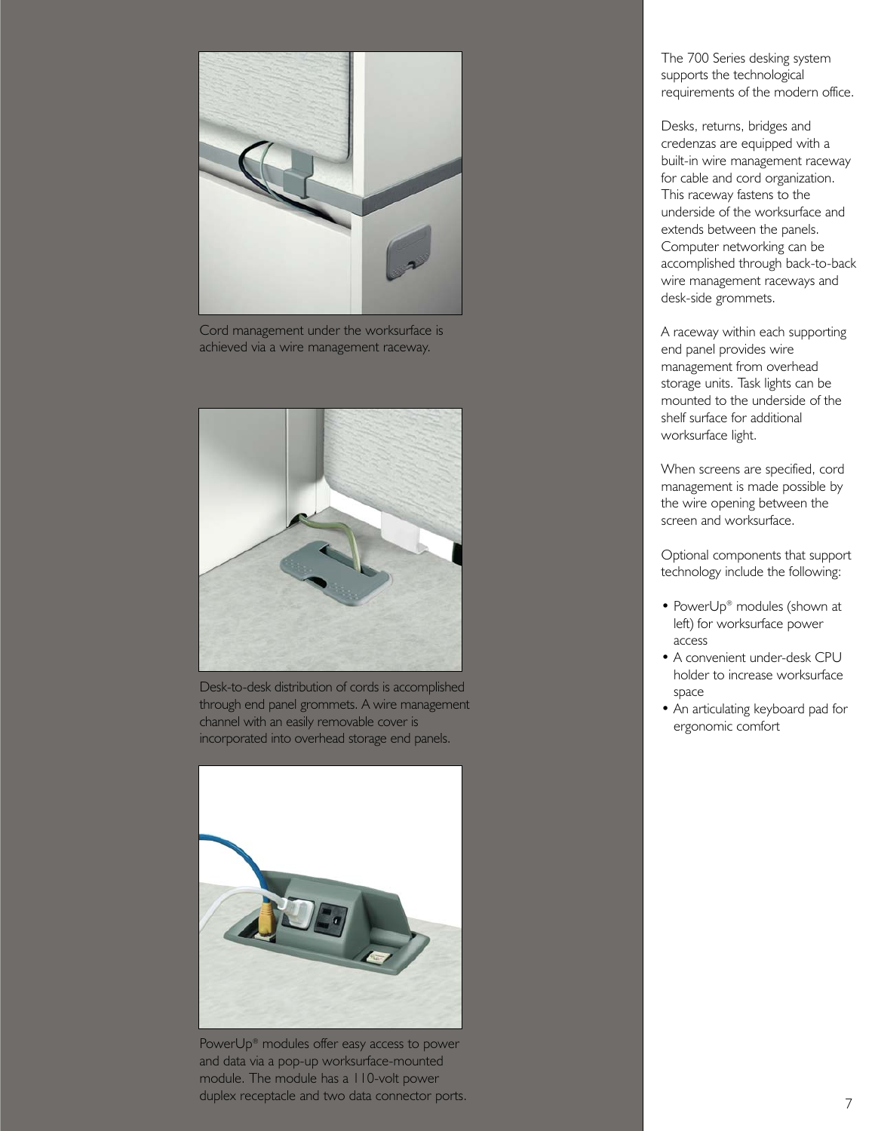

Cord management under the worksurface is achieved via a wire management raceway.



Desk-to-desk distribution of cords is accomplished through end panel grommets. A wire management channel with an easily removable cover is incorporated into overhead storage end panels.



PowerUp® modules offer easy access to power and data via a pop-up worksurface-mounted module. The module has a 110-volt power duplex receptacle and two data connector ports.<br>
2

The 700 Series desking system supports the technological requirements of the modern office.

Desks, returns, bridges and credenzas are equipped with a built-in wire management raceway for cable and cord organization. This raceway fastens to the underside of the worksurface and extends between the panels. Computer networking can be accomplished through back-to-back wire management raceways and desk-side grommets.

A raceway within each supporting end panel provides wire management from overhead storage units. Task lights can be mounted to the underside of the shelf surface for additional worksurface light.

When screens are specified, cord management is made possible by the wire opening between the screen and worksurface.

Optional components that support technology include the following:

- PowerUp® modules (shown at left) for worksurface power access
- A convenient under-desk CPU holder to increase worksurface space
- An articulating keyboard pad for ergonomic comfort